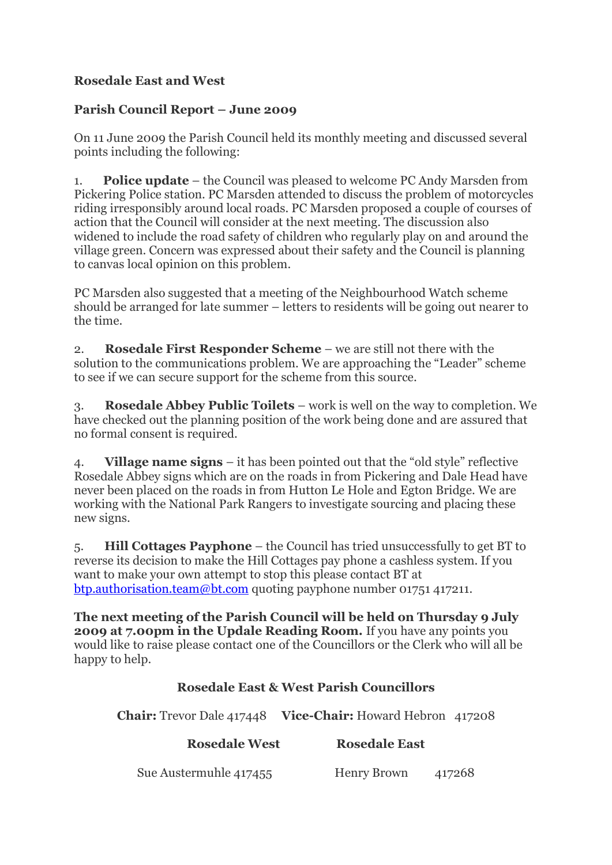## **Rosedale East and West**

## **Parish Council Report – June 2009**

On 11 June 2009 the Parish Council held its monthly meeting and discussed several points including the following:

1. **Police update** – the Council was pleased to welcome PC Andy Marsden from Pickering Police station. PC Marsden attended to discuss the problem of motorcycles riding irresponsibly around local roads. PC Marsden proposed a couple of courses of action that the Council will consider at the next meeting. The discussion also widened to include the road safety of children who regularly play on and around the village green. Concern was expressed about their safety and the Council is planning to canvas local opinion on this problem.

PC Marsden also suggested that a meeting of the Neighbourhood Watch scheme should be arranged for late summer – letters to residents will be going out nearer to the time.

2. **Rosedale First Responder Scheme** – we are still not there with the solution to the communications problem. We are approaching the "Leader" scheme to see if we can secure support for the scheme from this source.

3. **Rosedale Abbey Public Toilets** – work is well on the way to completion. We have checked out the planning position of the work being done and are assured that no formal consent is required.

4. **Village name signs** – it has been pointed out that the "old style" reflective Rosedale Abbey signs which are on the roads in from Pickering and Dale Head have never been placed on the roads in from Hutton Le Hole and Egton Bridge. We are working with the National Park Rangers to investigate sourcing and placing these new signs.

5. **Hill Cottages Payphone** – the Council has tried unsuccessfully to get BT to reverse its decision to make the Hill Cottages pay phone a cashless system. If you want to make your own attempt to stop this please contact BT at [btp.authorisation.team@bt.com](mailto:btp.authorisation.team@bt.com) quoting payphone number 01751 417211.

**The next meeting of the Parish Council will be held on Thursday 9 July 2009 at 7.00pm in the Updale Reading Room.** If you have any points you would like to raise please contact one of the Councillors or the Clerk who will all be happy to help.

## **Rosedale East & West Parish Councillors**

**Chair:** Trevor Dale 417448 **Vice-Chair:** Howard Hebron 417208

## **Rosedale West** Rosedale East

Sue Austermuhle 417455 Henry Brown 417268